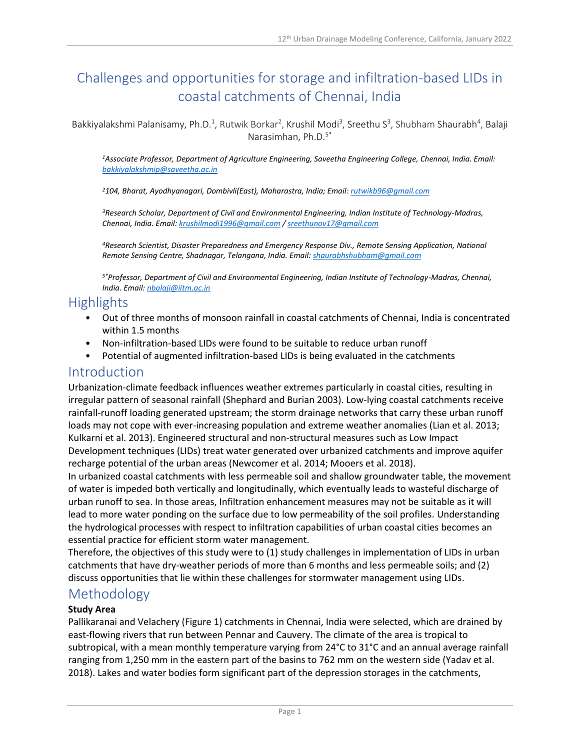# Challenges and opportunities for storage and infiltration-based LIDs in coastal catchments of Chennai, India

Bakkiyalakshmi Palanisamy, Ph.D.<sup>1</sup>, Rutwik Borkar<sup>2</sup>, Krushil Modi<sup>3</sup>, Sreethu S<sup>3</sup>, Shubham Shaurabh<sup>4</sup>, Balaji Narasimhan, Ph.D.5\*

*<sup>1</sup>Associate Professor, Department of Agriculture Engineering, Saveetha Engineering College, Chennai, India. Email: [bakkiyalakshmip@saveetha.ac.in](mailto:bakkiyalakshmip@saveetha.ac.in)*

*<sup>2</sup>104, Bharat, Ayodhyanagari, Dombivli(East), Maharastra, India; Email[: rutwikb96@gmail.com](mailto:rutwikb96@gmail.com)*

*<sup>3</sup>Research Scholar, Department of Civil and Environmental Engineering, Indian Institute of Technology-Madras, Chennai, India. Email[: krushilmodi1996@gmail.com](mailto:krushilmodi1996@gmail.com) [/ sreethunov17@gmail.com](mailto:sreethunov17@gmail.com)*

*<sup>4</sup>Research Scientist, Disaster Preparedness and Emergency Response Div., Remote Sensing Application, National Remote Sensing Centre, Shadnagar, Telangana, India. Email[: shaurabhshubham@gmail.com](mailto:shaurabhshubham@gmail.com)*

*5\*Professor, Department of Civil and Environmental Engineering, Indian Institute of Technology-Madras, Chennai, India. Email: [nbalaji@iitm.ac.in](mailto:nbalaji@iitm.ac.in)*

## **Highlights**

- Out of three months of monsoon rainfall in coastal catchments of Chennai, India is concentrated within 1.5 months
- Non-infiltration-based LIDs were found to be suitable to reduce urban runoff
- Potential of augmented infiltration-based LIDs is being evaluated in the catchments

## Introduction

Urbanization-climate feedback influences weather extremes particularly in coastal cities, resulting in irregular pattern of seasonal rainfall (Shephard and Burian 2003). Low-lying coastal catchments receive rainfall-runoff loading generated upstream; the storm drainage networks that carry these urban runoff loads may not cope with ever-increasing population and extreme weather anomalies (Lian et al. 2013; Kulkarni et al. 2013). Engineered structural and non-structural measures such as Low Impact Development techniques (LIDs) treat water generated over urbanized catchments and improve aquifer recharge potential of the urban areas (Newcomer et al. 2014; Mooers et al. 2018).

In urbanized coastal catchments with less permeable soil and shallow groundwater table, the movement of water is impeded both vertically and longitudinally, which eventually leads to wasteful discharge of urban runoff to sea. In those areas, Infiltration enhancement measures may not be suitable as it will lead to more water ponding on the surface due to low permeability of the soil profiles. Understanding the hydrological processes with respect to infiltration capabilities of urban coastal cities becomes an essential practice for efficient storm water management.

Therefore, the objectives of this study were to (1) study challenges in implementation of LIDs in urban catchments that have dry-weather periods of more than 6 months and less permeable soils; and (2) discuss opportunities that lie within these challenges for stormwater management using LIDs.

## Methodology

#### **Study Area**

Pallikaranai and Velachery (Figure 1) catchments in Chennai, India were selected, which are drained by east-flowing rivers that run between Pennar and Cauvery. The climate of the area is tropical to subtropical, with a mean monthly temperature varying from 24°C to 31°C and an annual average rainfall ranging from 1,250 mm in the eastern part of the basins to 762 mm on the western side (Yadav et al. 2018). Lakes and water bodies form significant part of the depression storages in the catchments,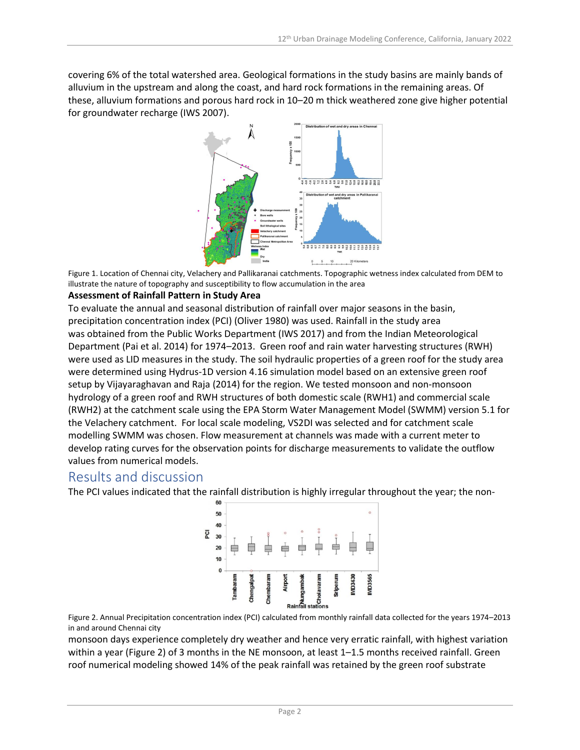covering 6% of the total watershed area. Geological formations in the study basins are mainly bands of alluvium in the upstream and along the coast, and hard rock formations in the remaining areas. Of these, alluvium formations and porous hard rock in 10–20 m thick weathered zone give higher potential for groundwater recharge (IWS 2007).



Figure 1. Location of Chennai city, Velachery and Pallikaranai catchments. Topographic wetness index calculated from DEM to illustrate the nature of topography and susceptibility to flow accumulation in the area

#### **Assessment of Rainfall Pattern in Study Area**

To evaluate the annual and seasonal distribution of rainfall over major seasons in the basin, precipitation concentration index (PCI) (Oliver 1980) was used. Rainfall in the study area was obtained from the Public Works Department (IWS 2017) and from the Indian Meteorological Department (Pai et al. 2014) for 1974–2013. Green roof and rain water harvesting structures (RWH) were used as LID measures in the study. The soil hydraulic properties of a green roof for the study area were determined using Hydrus-1D version 4.16 simulation model based on an extensive green roof setup by Vijayaraghavan and Raja (2014) for the region. We tested monsoon and non-monsoon hydrology of a green roof and RWH structures of both domestic scale (RWH1) and commercial scale (RWH2) at the catchment scale using the EPA Storm Water Management Model (SWMM) version 5.1 for the Velachery catchment. For local scale modeling, VS2DI was selected and for catchment scale modelling SWMM was chosen. Flow measurement at channels was made with a current meter to develop rating curves for the observation points for discharge measurements to validate the outflow values from numerical models.

## Results and discussion

The PCI values indicated that the rainfall distribution is highly irregular throughout the year; the non-

|     |    | Tambaram | Chengalpat | Chembaram | Airport | $\frac{3}{2}$<br>Rainfall stations |               | Sriperum | <b>IMD3430</b> | <b>IMD3565</b> |  |
|-----|----|----------|------------|-----------|---------|------------------------------------|---------------|----------|----------------|----------------|--|
|     | 0  |          |            |           |         |                                    |               |          |                |                |  |
|     | 10 |          |            |           |         |                                    |               |          |                |                |  |
|     | 20 |          |            |           |         |                                    |               |          |                |                |  |
| PCI | 30 |          |            |           |         | $\circ$                            | $\frac{0}{0}$ |          |                |                |  |
|     | 40 |          |            |           |         |                                    |               |          |                |                |  |
|     | 50 |          |            |           |         |                                    |               |          |                | $\circ$        |  |
|     | 60 |          |            |           |         |                                    |               |          |                |                |  |

Figure 2. Annual Precipitation concentration index (PCI) calculated from monthly rainfall data collected for the years 1974–2013 in and around Chennai city

monsoon days experience completely dry weather and hence very erratic rainfall, with highest variation within a year (Figure 2) of 3 months in the NE monsoon, at least 1–1.5 months received rainfall. Green roof numerical modeling showed 14% of the peak rainfall was retained by the green roof substrate